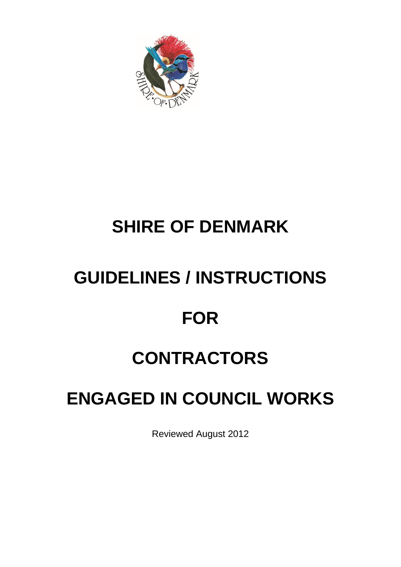

# **SHIRE OF DENMARK**

# **GUIDELINES / INSTRUCTIONS**

# **FOR**

# **CONTRACTORS**

# **ENGAGED IN COUNCIL WORKS**

Reviewed August 2012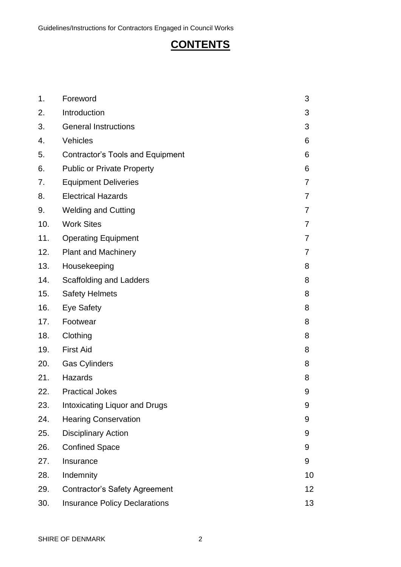# **CONTENTS**

| 1.  | Foreword                                | 3  |
|-----|-----------------------------------------|----|
| 2.  | Introduction                            | 3  |
| 3.  | <b>General Instructions</b>             | 3  |
| 4.  | Vehicles                                | 6  |
| 5.  | <b>Contractor's Tools and Equipment</b> | 6  |
| 6.  | <b>Public or Private Property</b>       | 6  |
| 7.  | <b>Equipment Deliveries</b>             | 7  |
| 8.  | <b>Electrical Hazards</b>               | 7  |
| 9.  | <b>Welding and Cutting</b>              | 7  |
| 10. | <b>Work Sites</b>                       | 7  |
| 11. | <b>Operating Equipment</b>              | 7  |
| 12. | <b>Plant and Machinery</b>              | 7  |
| 13. | Housekeeping                            | 8  |
| 14. | <b>Scaffolding and Ladders</b>          | 8  |
| 15. | <b>Safety Helmets</b>                   | 8  |
| 16. | <b>Eye Safety</b>                       | 8  |
| 17. | Footwear                                | 8  |
| 18. | Clothing                                | 8  |
| 19. | <b>First Aid</b>                        | 8  |
| 20. | <b>Gas Cylinders</b>                    | 8  |
| 21. | Hazards                                 | 8  |
| 22. | <b>Practical Jokes</b>                  | 9  |
| 23. | Intoxicating Liquor and Drugs           | 9  |
| 24. | <b>Hearing Conservation</b>             | 9  |
| 25. | <b>Disciplinary Action</b>              | 9  |
| 26. | <b>Confined Space</b>                   | 9  |
| 27. | Insurance                               | 9  |
| 28. | Indemnity                               | 10 |
| 29. | <b>Contractor's Safety Agreement</b>    | 12 |
| 30. | <b>Insurance Policy Declarations</b>    | 13 |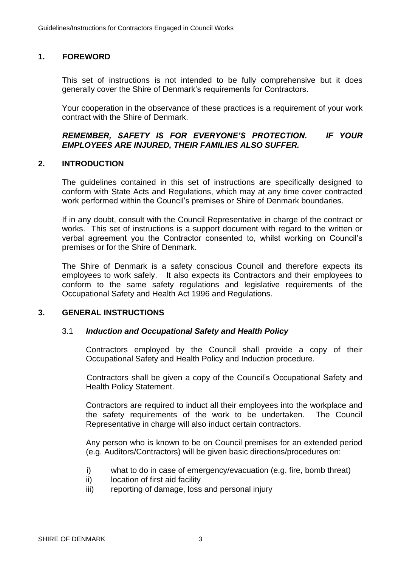# **1. FOREWORD**

This set of instructions is not intended to be fully comprehensive but it does generally cover the Shire of Denmark's requirements for Contractors.

Your cooperation in the observance of these practices is a requirement of your work contract with the Shire of Denmark.

### *REMEMBER, SAFETY IS FOR EVERYONE'S PROTECTION. IF YOUR EMPLOYEES ARE INJURED, THEIR FAMILIES ALSO SUFFER.*

#### **2. INTRODUCTION**

The guidelines contained in this set of instructions are specifically designed to conform with State Acts and Regulations, which may at any time cover contracted work performed within the Council's premises or Shire of Denmark boundaries.

If in any doubt, consult with the Council Representative in charge of the contract or works. This set of instructions is a support document with regard to the written or verbal agreement you the Contractor consented to, whilst working on Council's premises or for the Shire of Denmark.

The Shire of Denmark is a safety conscious Council and therefore expects its employees to work safely. It also expects its Contractors and their employees to conform to the same safety regulations and legislative requirements of the Occupational Safety and Health Act 1996 and Regulations.

#### **3. GENERAL INSTRUCTIONS**

#### 3.1 *Induction and Occupational Safety and Health Policy*

Contractors employed by the Council shall provide a copy of their Occupational Safety and Health Policy and Induction procedure.

Contractors shall be given a copy of the Council's Occupational Safety and Health Policy Statement.

Contractors are required to induct all their employees into the workplace and the safety requirements of the work to be undertaken. The Council Representative in charge will also induct certain contractors.

Any person who is known to be on Council premises for an extended period (e.g. Auditors/Contractors) will be given basic directions/procedures on:

- i) what to do in case of emergency/evacuation (e.g. fire, bomb threat)
- ii) location of first aid facility
- iii) reporting of damage, loss and personal injury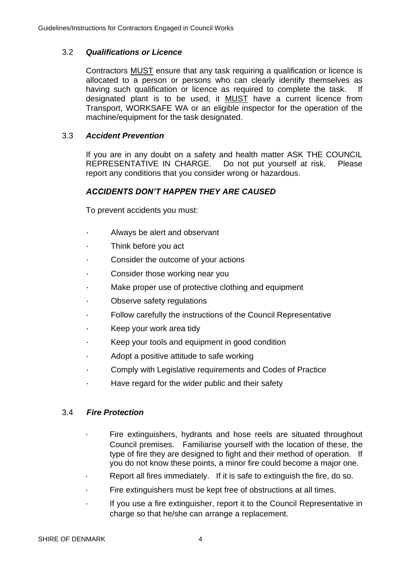### 3.2 *Qualifications or Licence*

Contractors MUST ensure that any task requiring a qualification or licence is allocated to a person or persons who can clearly identify themselves as having such qualification or licence as required to complete the task. If designated plant is to be used, it MUST have a current licence from Transport, WORKSAFE WA or an eligible inspector for the operation of the machine/equipment for the task designated.

### 3.3 *Accident Prevention*

If you are in any doubt on a safety and health matter ASK THE COUNCIL REPRESENTATIVE IN CHARGE. Do not put yourself at risk. Please report any conditions that you consider wrong or hazardous.

#### *ACCIDENTS DON'T HAPPEN THEY ARE CAUSED*

To prevent accidents you must:

- Always be alert and observant
- Think before you act
- Consider the outcome of your actions
- Consider those working near you
- Make proper use of protective clothing and equipment
- Observe safety regulations
- Follow carefully the instructions of the Council Representative
- Keep your work area tidy
- Keep your tools and equipment in good condition
- Adopt a positive attitude to safe working
- Comply with Legislative requirements and Codes of Practice
- Have regard for the wider public and their safety

#### 3.4 *Fire Protection*

- Fire extinguishers, hydrants and hose reels are situated throughout Council premises. Familiarise yourself with the location of these, the type of fire they are designed to fight and their method of operation. If you do not know these points, a minor fire could become a major one.
- Report all fires immediately. If it is safe to extinguish the fire, do so.
- Fire extinguishers must be kept free of obstructions at all times.
- If you use a fire extinguisher, report it to the Council Representative in charge so that he/she can arrange a replacement.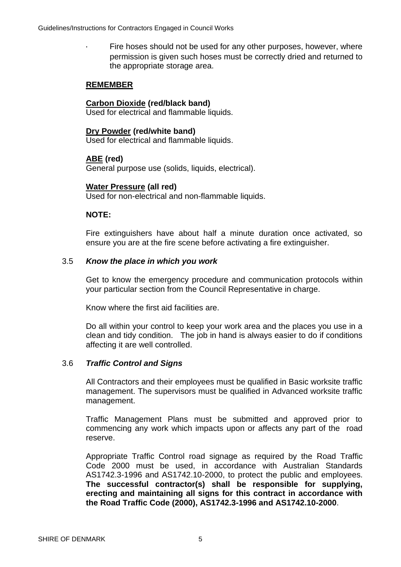• Fire hoses should not be used for any other purposes, however, where permission is given such hoses must be correctly dried and returned to the appropriate storage area.

## **REMEMBER**

### **Carbon Dioxide (red/black band)**

Used for electrical and flammable liquids.

#### **Dry Powder (red/white band)**

Used for electrical and flammable liquids.

#### **ABE (red)**

General purpose use (solids, liquids, electrical).

#### **Water Pressure (all red)**

Used for non-electrical and non-flammable liquids.

#### **NOTE:**

Fire extinguishers have about half a minute duration once activated, so ensure you are at the fire scene before activating a fire extinguisher.

#### 3.5 *Know the place in which you work*

Get to know the emergency procedure and communication protocols within your particular section from the Council Representative in charge.

Know where the first aid facilities are.

Do all within your control to keep your work area and the places you use in a clean and tidy condition. The job in hand is always easier to do if conditions affecting it are well controlled.

#### 3.6 *Traffic Control and Signs*

All Contractors and their employees must be qualified in Basic worksite traffic management. The supervisors must be qualified in Advanced worksite traffic management.

Traffic Management Plans must be submitted and approved prior to commencing any work which impacts upon or affects any part of the road reserve.

Appropriate Traffic Control road signage as required by the Road Traffic Code 2000 must be used, in accordance with Australian Standards AS1742.3-1996 and AS1742.10-2000, to protect the public and employees. **The successful contractor(s) shall be responsible for supplying, erecting and maintaining all signs for this contract in accordance with the Road Traffic Code (2000), AS1742.3-1996 and AS1742.10-2000**.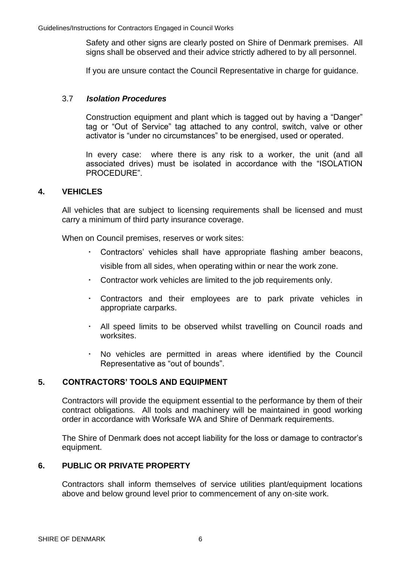Safety and other signs are clearly posted on Shire of Denmark premises. All signs shall be observed and their advice strictly adhered to by all personnel.

If you are unsure contact the Council Representative in charge for guidance.

#### 3.7 *Isolation Procedures*

Construction equipment and plant which is tagged out by having a "Danger" tag or "Out of Service" tag attached to any control, switch, valve or other activator is "under no circumstances" to be energised, used or operated.

In every case: where there is any risk to a worker, the unit (and all associated drives) must be isolated in accordance with the "ISOLATION PROCEDURE".

#### **4. VEHICLES**

All vehicles that are subject to licensing requirements shall be licensed and must carry a minimum of third party insurance coverage.

When on Council premises, reserves or work sites:

- Contractors' vehicles shall have appropriate flashing amber beacons, visible from all sides, when operating within or near the work zone.
- Contractor work vehicles are limited to the job requirements only.
- Contractors and their employees are to park private vehicles in appropriate carparks.
- All speed limits to be observed whilst travelling on Council roads and worksites.
- No vehicles are permitted in areas where identified by the Council Representative as "out of bounds".

#### **5. CONTRACTORS' TOOLS AND EQUIPMENT**

Contractors will provide the equipment essential to the performance by them of their contract obligations. All tools and machinery will be maintained in good working order in accordance with Worksafe WA and Shire of Denmark requirements.

The Shire of Denmark does not accept liability for the loss or damage to contractor's equipment.

#### **6. PUBLIC OR PRIVATE PROPERTY**

Contractors shall inform themselves of service utilities plant/equipment locations above and below ground level prior to commencement of any on-site work.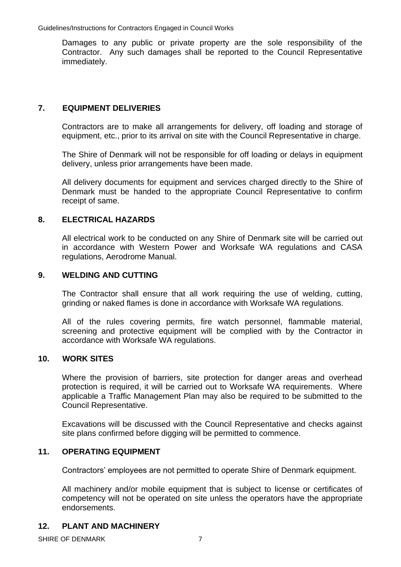Damages to any public or private property are the sole responsibility of the Contractor. Any such damages shall be reported to the Council Representative immediately.

# **7. EQUIPMENT DELIVERIES**

Contractors are to make all arrangements for delivery, off loading and storage of equipment, etc., prior to its arrival on site with the Council Representative in charge.

The Shire of Denmark will not be responsible for off loading or delays in equipment delivery, unless prior arrangements have been made.

All delivery documents for equipment and services charged directly to the Shire of Denmark must be handed to the appropriate Council Representative to confirm receipt of same.

# **8. ELECTRICAL HAZARDS**

All electrical work to be conducted on any Shire of Denmark site will be carried out in accordance with Western Power and Worksafe WA regulations and CASA regulations, Aerodrome Manual.

#### **9. WELDING AND CUTTING**

The Contractor shall ensure that all work requiring the use of welding, cutting, grinding or naked flames is done in accordance with Worksafe WA regulations.

All of the rules covering permits, fire watch personnel, flammable material, screening and protective equipment will be complied with by the Contractor in accordance with Worksafe WA regulations.

# **10. WORK SITES**

Where the provision of barriers, site protection for danger areas and overhead protection is required, it will be carried out to Worksafe WA requirements. Where applicable a Traffic Management Plan may also be required to be submitted to the Council Representative.

Excavations will be discussed with the Council Representative and checks against site plans confirmed before digging will be permitted to commence.

### **11. OPERATING EQUIPMENT**

Contractors' employees are not permitted to operate Shire of Denmark equipment.

All machinery and/or mobile equipment that is subject to license or certificates of competency will not be operated on site unless the operators have the appropriate endorsements.

# **12. PLANT AND MACHINERY**

SHIRE OF DENMARK 7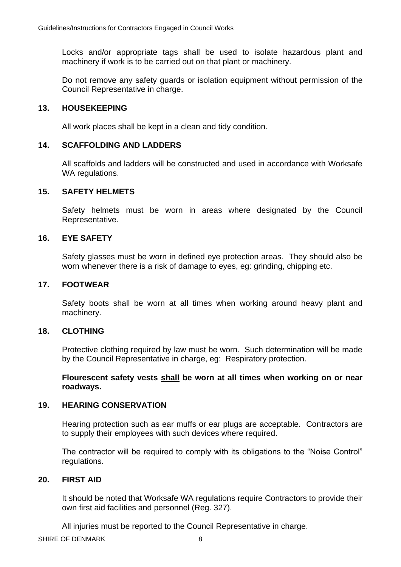Locks and/or appropriate tags shall be used to isolate hazardous plant and machinery if work is to be carried out on that plant or machinery.

Do not remove any safety guards or isolation equipment without permission of the Council Representative in charge.

#### **13. HOUSEKEEPING**

All work places shall be kept in a clean and tidy condition.

#### **14. SCAFFOLDING AND LADDERS**

All scaffolds and ladders will be constructed and used in accordance with Worksafe WA regulations.

#### **15. SAFETY HELMETS**

Safety helmets must be worn in areas where designated by the Council Representative.

#### **16. EYE SAFETY**

Safety glasses must be worn in defined eye protection areas. They should also be worn whenever there is a risk of damage to eyes, eg: grinding, chipping etc.

### **17. FOOTWEAR**

Safety boots shall be worn at all times when working around heavy plant and machinery.

#### **18. CLOTHING**

Protective clothing required by law must be worn. Such determination will be made by the Council Representative in charge, eg: Respiratory protection.

**Flourescent safety vests shall be worn at all times when working on or near roadways.** 

#### **19. HEARING CONSERVATION**

Hearing protection such as ear muffs or ear plugs are acceptable. Contractors are to supply their employees with such devices where required.

The contractor will be required to comply with its obligations to the "Noise Control" regulations.

#### **20. FIRST AID**

It should be noted that Worksafe WA regulations require Contractors to provide their own first aid facilities and personnel (Reg. 327).

All injuries must be reported to the Council Representative in charge.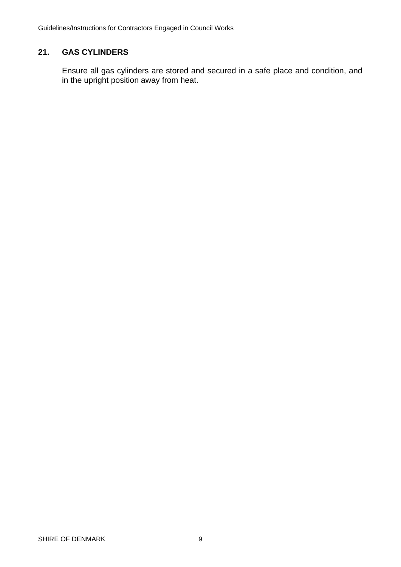# **21. GAS CYLINDERS**

Ensure all gas cylinders are stored and secured in a safe place and condition, and in the upright position away from heat.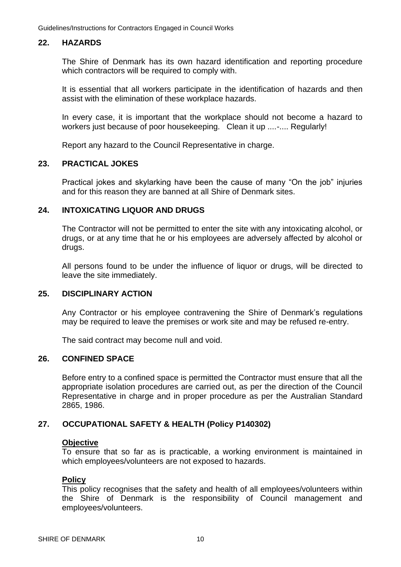## **22. HAZARDS**

The Shire of Denmark has its own hazard identification and reporting procedure which contractors will be required to comply with.

It is essential that all workers participate in the identification of hazards and then assist with the elimination of these workplace hazards.

In every case, it is important that the workplace should not become a hazard to workers just because of poor housekeeping. Clean it up ....-.... Regularly!

Report any hazard to the Council Representative in charge.

#### **23. PRACTICAL JOKES**

Practical jokes and skylarking have been the cause of many "On the job" injuries and for this reason they are banned at all Shire of Denmark sites.

#### **24. INTOXICATING LIQUOR AND DRUGS**

The Contractor will not be permitted to enter the site with any intoxicating alcohol, or drugs, or at any time that he or his employees are adversely affected by alcohol or drugs.

All persons found to be under the influence of liquor or drugs, will be directed to leave the site immediately.

#### **25. DISCIPLINARY ACTION**

Any Contractor or his employee contravening the Shire of Denmark's regulations may be required to leave the premises or work site and may be refused re-entry.

The said contract may become null and void.

### **26. CONFINED SPACE**

Before entry to a confined space is permitted the Contractor must ensure that all the appropriate isolation procedures are carried out, as per the direction of the Council Representative in charge and in proper procedure as per the Australian Standard 2865, 1986.

#### **27. OCCUPATIONAL SAFETY & HEALTH (Policy P140302)**

#### **Objective**

To ensure that so far as is practicable, a working environment is maintained in which employees/volunteers are not exposed to hazards.

#### **Policy**

This policy recognises that the safety and health of all employees/volunteers within the Shire of Denmark is the responsibility of Council management and employees/volunteers.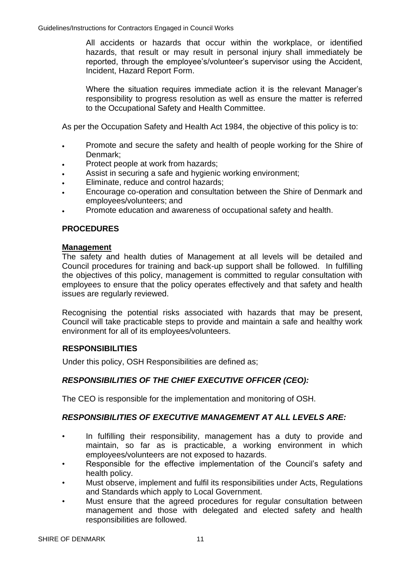All accidents or hazards that occur within the workplace, or identified hazards, that result or may result in personal injury shall immediately be reported, through the employee's/volunteer's supervisor using the Accident, Incident, Hazard Report Form.

Where the situation requires immediate action it is the relevant Manager's responsibility to progress resolution as well as ensure the matter is referred to the Occupational Safety and Health Committee.

As per the Occupation Safety and Health Act 1984, the objective of this policy is to:

- Promote and secure the safety and health of people working for the Shire of Denmark;
- Protect people at work from hazards;
- Assist in securing a safe and hygienic working environment;
- Eliminate, reduce and control hazards;
- Encourage co-operation and consultation between the Shire of Denmark and employees/volunteers; and
- Promote education and awareness of occupational safety and health.

# **PROCEDURES**

#### **Management**

The safety and health duties of Management at all levels will be detailed and Council procedures for training and back-up support shall be followed. In fulfilling the objectives of this policy, management is committed to regular consultation with employees to ensure that the policy operates effectively and that safety and health issues are regularly reviewed.

Recognising the potential risks associated with hazards that may be present, Council will take practicable steps to provide and maintain a safe and healthy work environment for all of its employees/volunteers.

#### **RESPONSIBILITIES**

Under this policy, OSH Responsibilities are defined as;

# *RESPONSIBILITIES OF THE CHIEF EXECUTIVE OFFICER (CEO):*

The CEO is responsible for the implementation and monitoring of OSH.

# *RESPONSIBILITIES OF EXECUTIVE MANAGEMENT AT ALL LEVELS ARE:*

- In fulfilling their responsibility, management has a duty to provide and maintain, so far as is practicable, a working environment in which employees/volunteers are not exposed to hazards.
- Responsible for the effective implementation of the Council's safety and health policy.
- Must observe, implement and fulfil its responsibilities under Acts, Regulations and Standards which apply to Local Government.
- Must ensure that the agreed procedures for regular consultation between management and those with delegated and elected safety and health responsibilities are followed.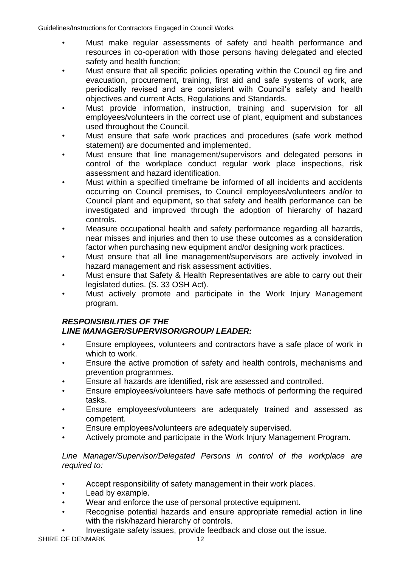- Must make regular assessments of safety and health performance and resources in co-operation with those persons having delegated and elected safety and health function;
- Must ensure that all specific policies operating within the Council eg fire and evacuation, procurement, training, first aid and safe systems of work, are periodically revised and are consistent with Council's safety and health objectives and current Acts, Regulations and Standards.
- Must provide information, instruction, training and supervision for all employees/volunteers in the correct use of plant, equipment and substances used throughout the Council.
- Must ensure that safe work practices and procedures (safe work method statement) are documented and implemented.
- Must ensure that line management/supervisors and delegated persons in control of the workplace conduct regular work place inspections, risk assessment and hazard identification.
- Must within a specified timeframe be informed of all incidents and accidents occurring on Council premises, to Council employees/volunteers and/or to Council plant and equipment, so that safety and health performance can be investigated and improved through the adoption of hierarchy of hazard controls.
- Measure occupational health and safety performance regarding all hazards, near misses and injuries and then to use these outcomes as a consideration factor when purchasing new equipment and/or designing work practices.
- Must ensure that all line management/supervisors are actively involved in hazard management and risk assessment activities.
- Must ensure that Safety & Health Representatives are able to carry out their legislated duties. (S. 33 OSH Act).
- Must actively promote and participate in the Work Injury Management program.

# *RESPONSIBILITIES OF THE LINE MANAGER/SUPERVISOR/GROUP/ LEADER:*

- Ensure employees, volunteers and contractors have a safe place of work in which to work.
- Ensure the active promotion of safety and health controls, mechanisms and prevention programmes.
- Ensure all hazards are identified, risk are assessed and controlled.
- Ensure employees/volunteers have safe methods of performing the required tasks.
- Ensure employees/volunteers are adequately trained and assessed as competent.
- Ensure employees/volunteers are adequately supervised.
- Actively promote and participate in the Work Injury Management Program.

*Line Manager/Supervisor/Delegated Persons in control of the workplace are required to:*

- Accept responsibility of safety management in their work places.
- Lead by example.
- Wear and enforce the use of personal protective equipment.
- Recognise potential hazards and ensure appropriate remedial action in line with the risk/hazard hierarchy of controls.

• Investigate safety issues, provide feedback and close out the issue.

SHIRE OF DENMARK 12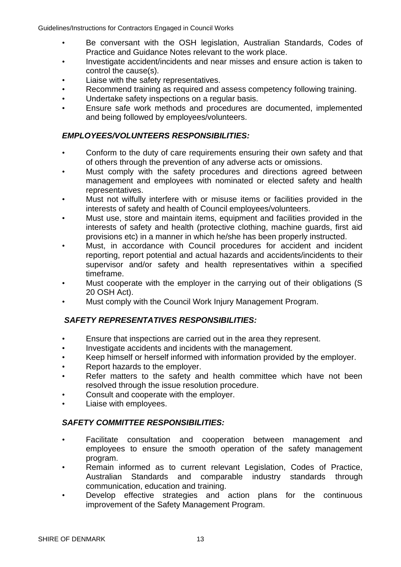- Be conversant with the OSH legislation, Australian Standards, Codes of Practice and Guidance Notes relevant to the work place.
- Investigate accident/incidents and near misses and ensure action is taken to control the cause(s).
- Liaise with the safety representatives.
- Recommend training as required and assess competency following training.
- Undertake safety inspections on a regular basis.
- Ensure safe work methods and procedures are documented, implemented and being followed by employees/volunteers.

## *EMPLOYEES/VOLUNTEERS RESPONSIBILITIES:*

- Conform to the duty of care requirements ensuring their own safety and that of others through the prevention of any adverse acts or omissions.
- Must comply with the safety procedures and directions agreed between management and employees with nominated or elected safety and health representatives.
- Must not wilfully interfere with or misuse items or facilities provided in the interests of safety and health of Council employees/volunteers.
- Must use, store and maintain items, equipment and facilities provided in the interests of safety and health (protective clothing, machine guards, first aid provisions etc) in a manner in which he/she has been properly instructed.
- Must, in accordance with Council procedures for accident and incident reporting, report potential and actual hazards and accidents/incidents to their supervisor and/or safety and health representatives within a specified timeframe.
- Must cooperate with the employer in the carrying out of their obligations (S 20 OSH Act).
- Must comply with the Council Work Injury Management Program.

# *SAFETY REPRESENTATIVES RESPONSIBILITIES:*

- Ensure that inspections are carried out in the area they represent.
- Investigate accidents and incidents with the management.
- Keep himself or herself informed with information provided by the employer.
- Report hazards to the employer.
- Refer matters to the safety and health committee which have not been resolved through the issue resolution procedure.
- Consult and cooperate with the employer.
- Liaise with employees.

# *SAFETY COMMITTEE RESPONSIBILITIES:*

- Facilitate consultation and cooperation between management and employees to ensure the smooth operation of the safety management program.
- Remain informed as to current relevant Legislation, Codes of Practice, Australian Standards and comparable industry standards through communication, education and training.
- Develop effective strategies and action plans for the continuous improvement of the Safety Management Program.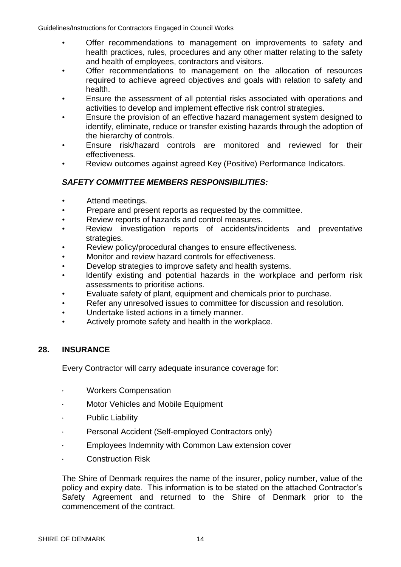- Offer recommendations to management on improvements to safety and health practices, rules, procedures and any other matter relating to the safety and health of employees, contractors and visitors.
- Offer recommendations to management on the allocation of resources required to achieve agreed objectives and goals with relation to safety and health.
- Ensure the assessment of all potential risks associated with operations and activities to develop and implement effective risk control strategies.
- Ensure the provision of an effective hazard management system designed to identify, eliminate, reduce or transfer existing hazards through the adoption of the hierarchy of controls.
- Ensure risk/hazard controls are monitored and reviewed for their effectiveness.
- Review outcomes against agreed Key (Positive) Performance Indicators.

# *SAFETY COMMITTEE MEMBERS RESPONSIBILITIES:*

- Attend meetings.
- Prepare and present reports as requested by the committee.
- Review reports of hazards and control measures.
- Review investigation reports of accidents/incidents and preventative strategies.
- Review policy/procedural changes to ensure effectiveness.
- Monitor and review hazard controls for effectiveness.
- Develop strategies to improve safety and health systems.
- Identify existing and potential hazards in the workplace and perform risk assessments to prioritise actions.
- Evaluate safety of plant, equipment and chemicals prior to purchase.
- Refer any unresolved issues to committee for discussion and resolution.
- Undertake listed actions in a timely manner.
- Actively promote safety and health in the workplace.

#### **28. INSURANCE**

Every Contractor will carry adequate insurance coverage for:

- Workers Compensation
- Motor Vehicles and Mobile Equipment
- Public Liability
- Personal Accident (Self-employed Contractors only)
- Employees Indemnity with Common Law extension cover
- Construction Risk

The Shire of Denmark requires the name of the insurer, policy number, value of the policy and expiry date. This information is to be stated on the attached Contractor's Safety Agreement and returned to the Shire of Denmark prior to the commencement of the contract.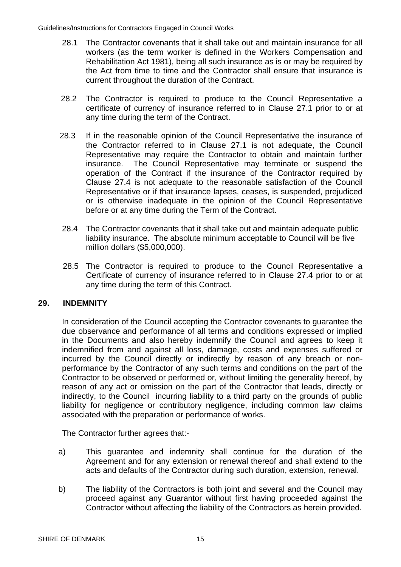- 28.1 The Contractor covenants that it shall take out and maintain insurance for all workers (as the term worker is defined in the Workers Compensation and Rehabilitation Act 1981), being all such insurance as is or may be required by the Act from time to time and the Contractor shall ensure that insurance is current throughout the duration of the Contract.
- 28.2 The Contractor is required to produce to the Council Representative a certificate of currency of insurance referred to in Clause 27.1 prior to or at any time during the term of the Contract.
- 28.3 If in the reasonable opinion of the Council Representative the insurance of the Contractor referred to in Clause 27.1 is not adequate, the Council Representative may require the Contractor to obtain and maintain further insurance. The Council Representative may terminate or suspend the operation of the Contract if the insurance of the Contractor required by Clause 27.4 is not adequate to the reasonable satisfaction of the Council Representative or if that insurance lapses, ceases, is suspended, prejudiced or is otherwise inadequate in the opinion of the Council Representative before or at any time during the Term of the Contract.
- 28.4 The Contractor covenants that it shall take out and maintain adequate public liability insurance. The absolute minimum acceptable to Council will be five million dollars (\$5,000,000).
- 28.5 The Contractor is required to produce to the Council Representative a Certificate of currency of insurance referred to in Clause 27.4 prior to or at any time during the term of this Contract.

# **29. INDEMNITY**

In consideration of the Council accepting the Contractor covenants to guarantee the due observance and performance of all terms and conditions expressed or implied in the Documents and also hereby indemnify the Council and agrees to keep it indemnified from and against all loss, damage, costs and expenses suffered or incurred by the Council directly or indirectly by reason of any breach or nonperformance by the Contractor of any such terms and conditions on the part of the Contractor to be observed or performed or, without limiting the generality hereof, by reason of any act or omission on the part of the Contractor that leads, directly or indirectly, to the Council incurring liability to a third party on the grounds of public liability for negligence or contributory negligence, including common law claims associated with the preparation or performance of works.

The Contractor further agrees that:-

- a) This guarantee and indemnity shall continue for the duration of the Agreement and for any extension or renewal thereof and shall extend to the acts and defaults of the Contractor during such duration, extension, renewal.
- b) The liability of the Contractors is both joint and several and the Council may proceed against any Guarantor without first having proceeded against the Contractor without affecting the liability of the Contractors as herein provided.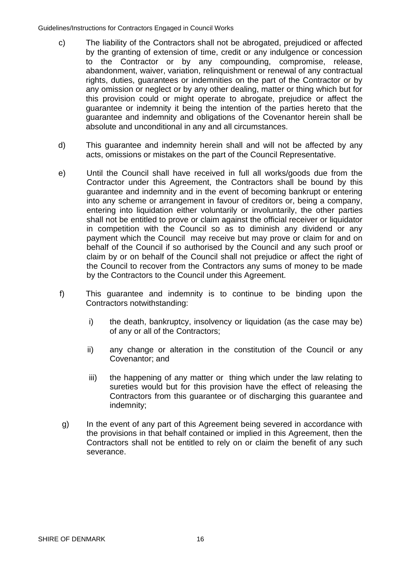- c) The liability of the Contractors shall not be abrogated, prejudiced or affected by the granting of extension of time, credit or any indulgence or concession to the Contractor or by any compounding, compromise, release, abandonment, waiver, variation, relinquishment or renewal of any contractual rights, duties, guarantees or indemnities on the part of the Contractor or by any omission or neglect or by any other dealing, matter or thing which but for this provision could or might operate to abrogate, prejudice or affect the guarantee or indemnity it being the intention of the parties hereto that the guarantee and indemnity and obligations of the Covenantor herein shall be absolute and unconditional in any and all circumstances.
- d) This guarantee and indemnity herein shall and will not be affected by any acts, omissions or mistakes on the part of the Council Representative.
- e) Until the Council shall have received in full all works/goods due from the Contractor under this Agreement, the Contractors shall be bound by this guarantee and indemnity and in the event of becoming bankrupt or entering into any scheme or arrangement in favour of creditors or, being a company, entering into liquidation either voluntarily or involuntarily, the other parties shall not be entitled to prove or claim against the official receiver or liquidator in competition with the Council so as to diminish any dividend or any payment which the Council may receive but may prove or claim for and on behalf of the Council if so authorised by the Council and any such proof or claim by or on behalf of the Council shall not prejudice or affect the right of the Council to recover from the Contractors any sums of money to be made by the Contractors to the Council under this Agreement.
- f) This guarantee and indemnity is to continue to be binding upon the Contractors notwithstanding:
	- i) the death, bankruptcy, insolvency or liquidation (as the case may be) of any or all of the Contractors;
	- ii) any change or alteration in the constitution of the Council or any Covenantor; and
	- iii) the happening of any matter or thing which under the law relating to sureties would but for this provision have the effect of releasing the Contractors from this guarantee or of discharging this guarantee and indemnity;
- g) In the event of any part of this Agreement being severed in accordance with the provisions in that behalf contained or implied in this Agreement, then the Contractors shall not be entitled to rely on or claim the benefit of any such severance.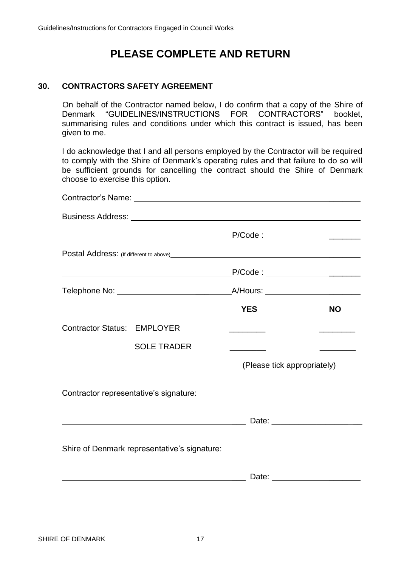# **PLEASE COMPLETE AND RETURN**

## **30. CONTRACTORS SAFETY AGREEMENT**

On behalf of the Contractor named below, I do confirm that a copy of the Shire of Denmark "GUIDELINES/INSTRUCTIONS FOR CONTRACTORS" booklet, summarising rules and conditions under which this contract is issued, has been given to me.

I do acknowledge that I and all persons employed by the Contractor will be required to comply with the Shire of Denmark's operating rules and that failure to do so will be sufficient grounds for cancelling the contract should the Shire of Denmark choose to exercise this option.

|                                    | <u> 1980 - Johann Barbara, martin amerikan personal (</u> | P/Code : _______________________  |                                 |
|------------------------------------|-----------------------------------------------------------|-----------------------------------|---------------------------------|
|                                    |                                                           |                                   |                                 |
|                                    |                                                           | <b>YES</b>                        | <b>NO</b>                       |
| <b>Contractor Status: EMPLOYER</b> |                                                           | the control of the control of the |                                 |
|                                    | <b>SOLE TRADER</b>                                        |                                   | <u> De Santa Carlos de Sant</u> |
|                                    |                                                           | (Please tick appropriately)       |                                 |
|                                    | Contractor representative's signature:                    |                                   |                                 |
|                                    | <u> 1980 - Johann Barbara, martxa alemaniar a</u>         |                                   |                                 |
|                                    | Shire of Denmark representative's signature:              |                                   |                                 |